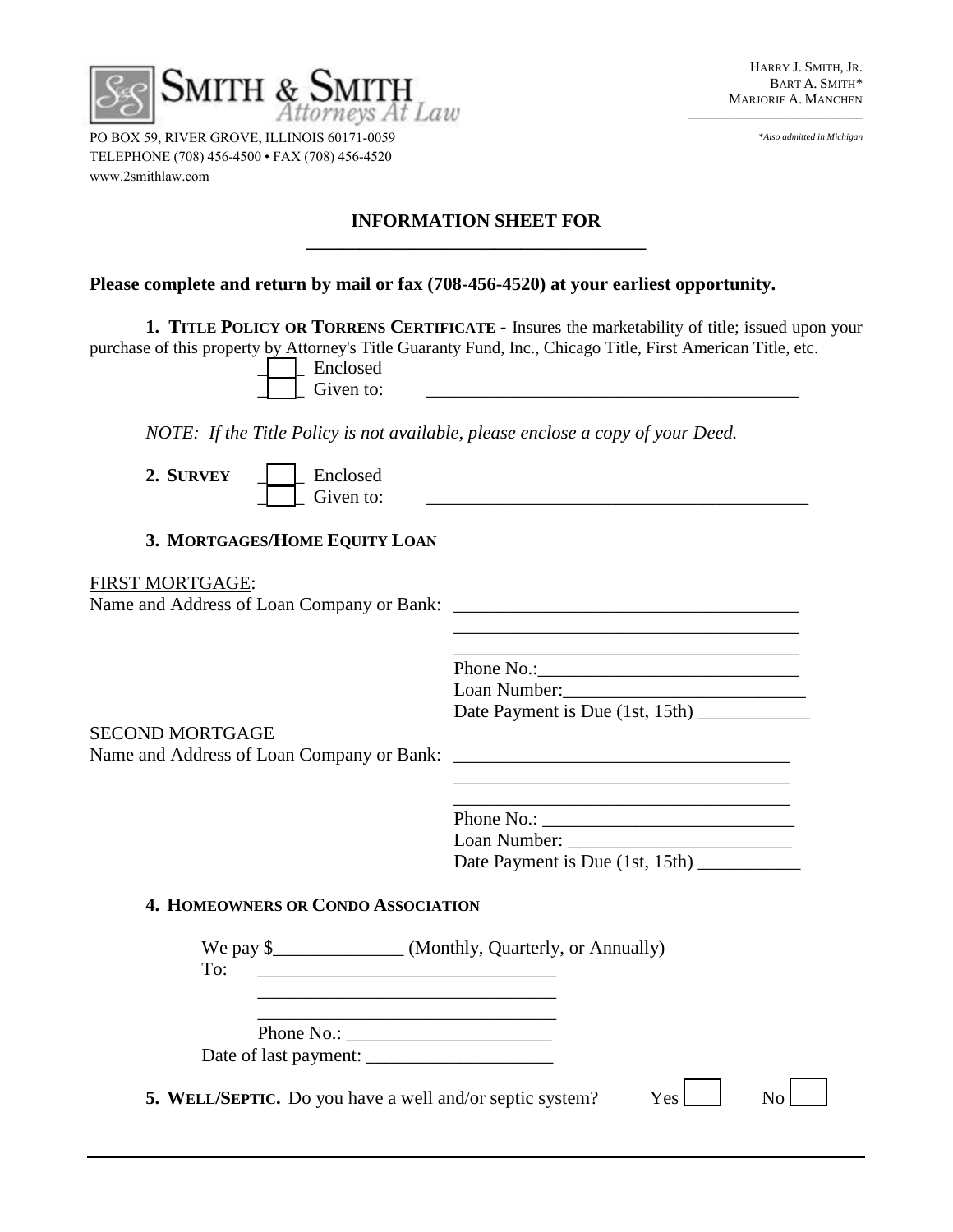

 $\overline{\phantom{a}}$  , and the contract of the contract of the contract of the contract of the contract of the contract of the contract of the contract of the contract of the contract of the contract of the contract of the contrac

\**Also admitted in Michigan*

PO BOX 59, RIVER GROVE, ILLINOIS 60171-0059 TELEPHONE (708) 456-4500 • FAX (708) 456-4520 www.2smithlaw.com

### **INFORMATION SHEET FOR \_\_\_\_\_\_\_\_\_\_\_\_\_\_\_\_\_\_\_\_\_\_\_\_\_\_\_\_\_\_\_\_\_\_\_\_\_\_**

# **Please complete and return by mail or fax (708-456-4520) at your earliest opportunity.**

**1. TITLE POLICY OR TORRENS CERTIFICATE** - Insures the marketability of title; issued upon your purchase of this property by Attorney's Title Guaranty Fund, Inc., Chicago Title, First American Title, etc.

|  | Enclosed  |  |
|--|-----------|--|
|  | Given to: |  |

*NOTE: If the Title Policy is not available, please enclose a copy of your Deed.* 

2. SURVEY | Enclosed Given to:  $\qquad \qquad \qquad$ 

## **3. MORTGAGES/HOME EQUITY LOAN**

#### FIRST MORTGAGE:

Name and Address of Loan Company or Bank: \_\_\_\_\_\_\_\_\_\_\_\_\_\_\_\_\_\_\_\_\_\_\_\_\_\_\_\_\_\_\_\_\_\_\_\_\_

Phone No.: Loan Number: Date Payment is Due (1st, 15th)

SECOND MORTGAGE

Name and Address of Loan Company or Bank: \_\_\_\_\_\_\_\_\_\_\_\_\_\_\_\_\_\_\_\_\_\_\_\_\_\_\_\_\_\_\_\_\_\_\_\_

| Phone No.:                      |  |  |
|---------------------------------|--|--|
| Loan Number:                    |  |  |
| Date Payment is Due (1st, 15th) |  |  |

\_\_\_\_\_\_\_\_\_\_\_\_\_\_\_\_\_\_\_\_\_\_\_\_\_\_\_\_\_\_\_\_\_\_\_\_

\_\_\_\_\_\_\_\_\_\_\_\_\_\_\_\_\_\_\_\_\_\_\_\_\_\_\_\_\_\_\_\_\_\_\_\_\_

## **4. HOMEOWNERS OR CONDO ASSOCIATION**

| We pay $\frac{1}{2}$<br>To:                                     | (Monthly, Quarterly, or Annually) |                  |  |
|-----------------------------------------------------------------|-----------------------------------|------------------|--|
|                                                                 |                                   |                  |  |
| Phone No.:                                                      |                                   |                  |  |
| <b>5. WELL/SEPTIC.</b> Do you have a well and/or septic system? |                                   | Yes <sup>1</sup> |  |